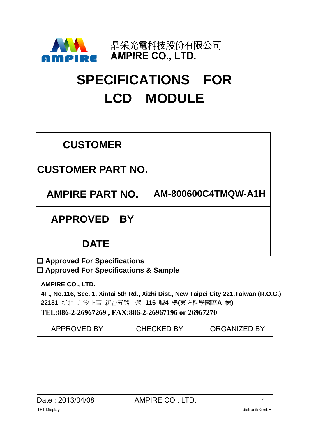

# **SPECIFICATIONS FOR LCD MODULE**

| <b>CUSTOMER</b>           |                     |
|---------------------------|---------------------|
| <b>ICUSTOMER PART NO.</b> |                     |
| <b>AMPIRE PART NO.</b>    | AM-800600C4TMQW-A1H |
| <b>APPROVED BY</b>        |                     |
| <b>DATE</b>               |                     |

 **Approved For Specifications Approved For Specifications & Sample** 

**AMPIRE CO., LTD.** 

**4F., No.116, Sec. 1, Xintai 5th Rd., Xizhi Dist., New Taipei City 221,Taiwan (R.O.C.) 22181** 新北市 汐止區 新台五路一段 **116** 號**4** 樓**(**東方科學園區**A** 棟**) TEL:886-2-26967269 , FAX:886-2-26967196 or 26967270**

| <b>APPROVED BY</b> | <b>CHECKED BY</b> | <b>ORGANIZED BY</b> |
|--------------------|-------------------|---------------------|
|                    |                   |                     |
|                    |                   |                     |
|                    |                   |                     |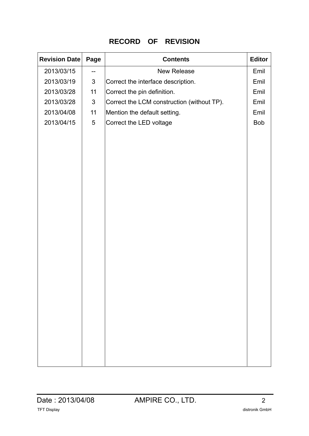### **RECORD OF REVISION**

| <b>Revision Date</b> | Page           | <b>Contents</b>                            | <b>Editor</b> |
|----------------------|----------------|--------------------------------------------|---------------|
| 2013/03/15           | --             | <b>New Release</b>                         | Emil          |
| 2013/03/19           | $\mathfrak{S}$ | Correct the interface description.         | Emil          |
| 2013/03/28           | 11             | Correct the pin definition.                | Emil          |
| 2013/03/28           | $\mathfrak{S}$ | Correct the LCM construction (without TP). | Emil          |
| 2013/04/08           | 11             | Mention the default setting.               | Emil          |
| 2013/04/15           | $\sqrt{5}$     | Correct the LED voltage                    | <b>Bob</b>    |
|                      |                |                                            |               |
|                      |                |                                            |               |
|                      |                |                                            |               |
|                      |                |                                            |               |
|                      |                |                                            |               |
|                      |                |                                            |               |
|                      |                |                                            |               |
|                      |                |                                            |               |
|                      |                |                                            |               |
|                      |                |                                            |               |
|                      |                |                                            |               |
|                      |                |                                            |               |
|                      |                |                                            |               |
|                      |                |                                            |               |
|                      |                |                                            |               |
|                      |                |                                            |               |
|                      |                |                                            |               |
|                      |                |                                            |               |
|                      |                |                                            |               |
|                      |                |                                            |               |
|                      |                |                                            |               |
|                      |                |                                            |               |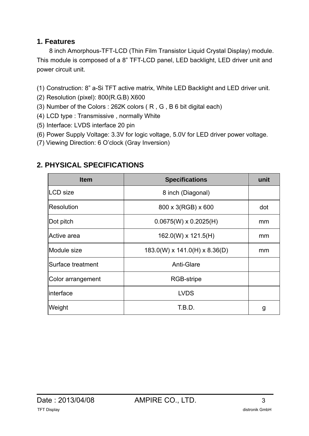# **1. Features**

8 inch Amorphous-TFT-LCD (Thin Film Transistor Liquid Crystal Display) module. This module is composed of a 8" TFT-LCD panel, LED backlight, LED driver unit and power circuit unit.

- (1) Construction: 8" a-Si TFT active matrix, White LED Backlight and LED driver unit.
- (2) Resolution (pixel): 800(R.G.B) X600
- (3) Number of the Colors : 262K colors ( R , G , B 6 bit digital each)
- (4) LCD type : Transmissive , normally White
- (5) Interface: LVDS interface 20 pin
- (6) Power Supply Voltage: 3.3V for logic voltage, 5.0V for LED driver power voltage.
- (7) Viewing Direction: 6 O'clock (Gray Inversion)

| <b>Item</b>       | <b>Specifications</b>             | unit |
|-------------------|-----------------------------------|------|
| <b>LCD</b> size   | 8 inch (Diagonal)                 |      |
| Resolution        | 800 x 3(RGB) x 600                | dot  |
| Dot pitch         | $0.0675(W) \times 0.2025(H)$      | mm   |
| Active area       | $162.0(W) \times 121.5(H)$        | mm   |
| Module size       | $183.0(W)$ x $141.0(H)$ x 8.36(D) | mm   |
| Surface treatment | <b>Anti-Glare</b>                 |      |
| Color arrangement | <b>RGB-stripe</b>                 |      |
| interface         | <b>LVDS</b>                       |      |
| Weight            | T.B.D.                            | g    |

# **2. PHYSICAL SPECIFICATIONS**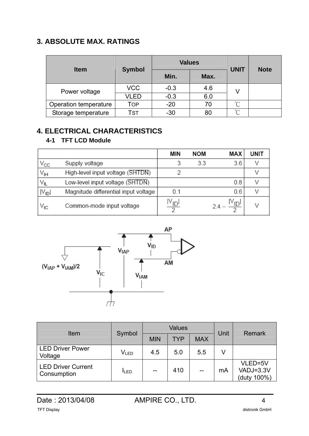# **3. ABSOLUTE MAX. RATINGS**

| <b>Item</b>           |               | <b>Values</b> |      | <b>UNIT</b> | <b>Note</b> |
|-----------------------|---------------|---------------|------|-------------|-------------|
|                       | <b>Symbol</b> | Min.          | Max. |             |             |
| Power voltage         | <b>VCC</b>    | $-0.3$        | 4.6  |             |             |
|                       | VLED          | $-0.3$        | 6.0  |             |             |
| Operation temperature | Top           | $-20$         | 70   | $\sim$      |             |
| Storage temperature   | <b>TST</b>    | $-30$         | 80   | $\sim$      |             |

# **4. ELECTRICAL CHARACTERISTICS**

### **4-1 TFT LCD Module**

|                 |                                      | MIN                  | NOM | MAX                             | UNIT |
|-----------------|--------------------------------------|----------------------|-----|---------------------------------|------|
| $\rm v_{cc}$    | Supply voltage                       |                      | 3.3 | 3.6                             |      |
| V <sub>IH</sub> | High-level input voltage (SHTDN)     |                      |     |                                 |      |
| VIL             | Low-level input voltage (SHTDN)      |                      |     | 0.8                             |      |
| $ V_{ID} $      | Magnitude differential input voltage | 0.1                  |     | 0.6                             | V    |
| V <sub>IC</sub> | Common-mode input voltage            | $\frac{ V_{ID} }{2}$ |     | $\frac{ V_{ID} }{2}$<br>$2.4 -$ | V    |



| Item                                     | Symbol                      |            | <b>Values</b> |            | <b>Unit</b> | Remark                              |  |
|------------------------------------------|-----------------------------|------------|---------------|------------|-------------|-------------------------------------|--|
|                                          |                             | <b>MIN</b> | <b>TYP</b>    | <b>MAX</b> |             |                                     |  |
| <b>LED Driver Power</b><br>Voltage       | $\mathsf{V}_{\mathsf{LED}}$ | 4.5        | 5.0           | 5.5        | V           |                                     |  |
| <b>LED Driver Current</b><br>Consumption | <b>ILED</b>                 | $- -$      | 410           | --         | mA          | VLED=5V<br>VADJ=3.3V<br>(duty 100%) |  |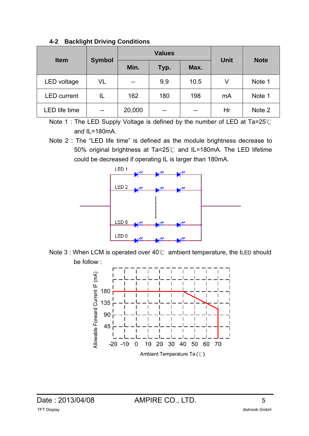|  |  |  | 4-2 Backlight Driving Conditions |
|--|--|--|----------------------------------|
|--|--|--|----------------------------------|

| <b>Item</b>          |               |        | <b>Values</b> | <b>Unit</b> | <b>Note</b> |        |
|----------------------|---------------|--------|---------------|-------------|-------------|--------|
|                      | <b>Symbol</b> | Min.   | Typ.          | Max.        |             |        |
| LED voltage          | VL            | --     | 9.9           | 10.5        | V           | Note 1 |
| <b>LED</b> current   | IL            | 162    | 180           | 198         | mA          | Note 1 |
| <b>LED</b> life time | --            | 20,000 |               |             | Hr          | Note 2 |

Note 1 : The LED Supply Voltage is defined by the number of LED at Ta=25℃ and IL=180mA.

Note 2 : The "LED life time" is defined as the module brightness decrease to 50% original brightness at Ta=25℃ and IL=180mA. The LED lifetime could be decreased if operating IL is larger than 180mA.



Note 3 : When LCM is operated over 40℃ ambient temperature, the ILED should be follow :

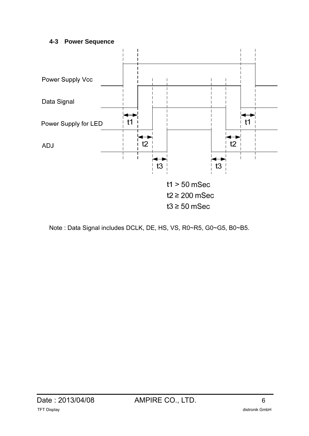#### **4-3 Power Sequence**



Note : Data Signal includes DCLK, DE, HS, VS, R0~R5, G0~G5, B0~B5.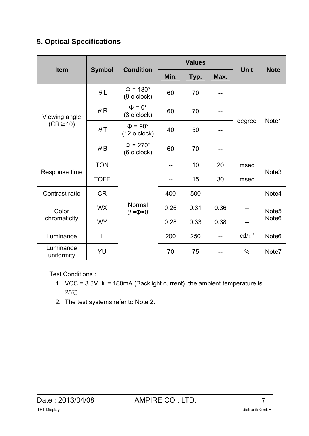# **5. Optical Specifications**

| <b>Item</b>                    |               | <b>Condition</b>                      |      | <b>Values</b> |      | <b>Note</b> |                   |  |
|--------------------------------|---------------|---------------------------------------|------|---------------|------|-------------|-------------------|--|
|                                | <b>Symbol</b> |                                       | Min. | Typ.          | Max. | <b>Unit</b> |                   |  |
|                                | $\theta L$    | $\Phi = 180^\circ$<br>$(9$ o'clock)   | 60   | 70            |      |             |                   |  |
| Viewing angle<br>$(CR \ge 10)$ | $\theta$ R    | $\Phi = 0^{\circ}$<br>$(3$ o'clock)   | 60   | 70            |      |             |                   |  |
|                                | $\theta$ T    | $\Phi = 90^\circ$<br>(12 o'clock)     | 40   | 50            | --   | degree      | Note1             |  |
|                                | $\theta$ B    | $\Phi = 270^\circ$<br>(6 o'clock)     | 60   | 70            |      |             |                   |  |
|                                | <b>TON</b>    |                                       |      | 10            | 20   | msec        | Note <sub>3</sub> |  |
| Response time                  | <b>TOFF</b>   |                                       |      | 15            | 30   | msec        |                   |  |
| Contrast ratio                 | <b>CR</b>     |                                       | 400  | 500           | --   |             | Note4             |  |
| Color                          | <b>WX</b>     | Normal<br>$\theta = \Phi = 0^{\circ}$ | 0.26 | 0.31          | 0.36 |             | Note <sub>5</sub> |  |
| chromaticity                   | <b>WY</b>     |                                       | 0.28 | 0.33          | 0.38 |             | Note <sub>6</sub> |  |
| Luminance                      | L             |                                       | 200  | 250           |      | $cd/m^2$    | Note <sub>6</sub> |  |
| Luminance<br>uniformity        | YU            |                                       | 70   | 75            | --   | $\%$        | Note7             |  |

Test Conditions :

- 1. VCC =  $3.3V$ ,  $IL = 180mA$  (Backlight current), the ambient temperature is 25℃.
- 2. The test systems refer to Note 2.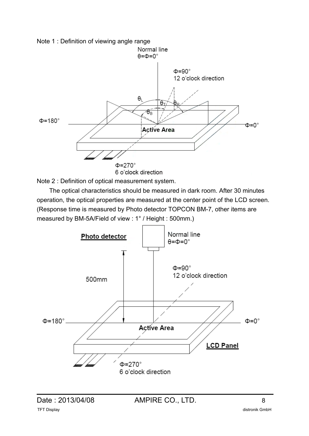

Note 2 : Definition of optical measurement system.

 The optical characteristics should be measured in dark room. After 30 minutes operation, the optical properties are measured at the center point of the LCD screen. (Response time is measured by Photo detector TOPCON BM-7, other items are measured by BM-5A/Field of view : 1° / Height : 500mm.)

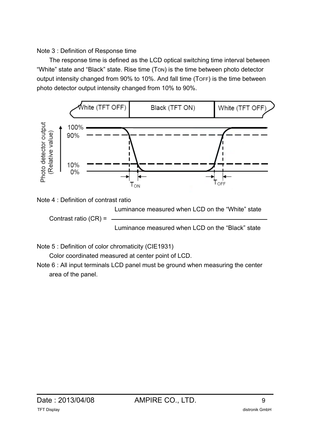### Note 3 : Definition of Response time

 The response time is defined as the LCD optical switching time interval between "White" state and "Black" state. Rise time (TON) is the time between photo detector output intensity changed from 90% to 10%. And fall time (TOFF) is the time between photo detector output intensity changed from 10% to 90%.



Luminance measured when LCD on the "Black" state

Note 5 : Definition of color chromaticity (CIE1931)

Color coordinated measured at center point of LCD.

Note 6 : All input terminals LCD panel must be ground when measuring the center area of the panel.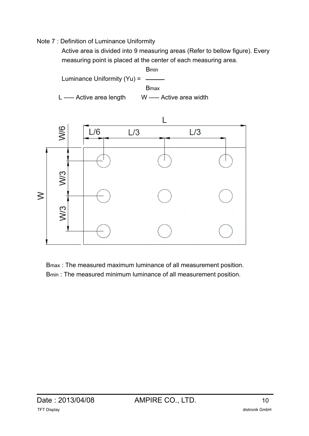#### Note 7 : Definition of Luminance Uniformity

 Active area is divided into 9 measuring areas (Refer to bellow figure). Every measuring point is placed at the center of each measuring area.





Bmax : The measured maximum luminance of all measurement position. Bmin : The measured minimum luminance of all measurement position.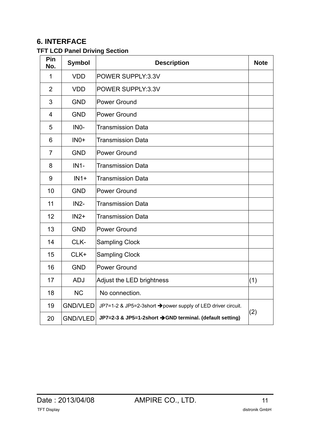# **6. INTERFACE**

### **TFT LCD Panel Driving Section**

| Pin<br>No.     | <b>Symbol</b>     | <b>Description</b>                                           | <b>Note</b> |
|----------------|-------------------|--------------------------------------------------------------|-------------|
| 1              | <b>VDD</b>        | POWER SUPPLY:3.3V                                            |             |
| $\overline{2}$ | <b>VDD</b>        | POWER SUPPLY:3.3V                                            |             |
| 3              | <b>GND</b>        | Power Ground                                                 |             |
| $\overline{4}$ | <b>GND</b>        | <b>Power Ground</b>                                          |             |
| 5              | IN <sub>0</sub> - | Transmission Data                                            |             |
| 6              | $INO+$            | <b>Transmission Data</b>                                     |             |
| $\overline{7}$ | <b>GND</b>        | <b>Power Ground</b>                                          |             |
| 8              | $IN1-$            | <b>Transmission Data</b>                                     |             |
| 9              | $IN1+$            | <b>Transmission Data</b>                                     |             |
| 10             | <b>GND</b>        | <b>Power Ground</b>                                          |             |
| 11             | $IN2-$            | <b>Transmission Data</b>                                     |             |
| 12             | $IN2+$            | <b>Transmission Data</b>                                     |             |
| 13             | <b>GND</b>        | <b>Power Ground</b>                                          |             |
| 14             | CLK-              | <b>Sampling Clock</b>                                        |             |
| 15             | $CLK+$            | <b>Sampling Clock</b>                                        |             |
| 16             | <b>GND</b>        | <b>Power Ground</b>                                          |             |
| 17             | <b>ADJ</b>        | Adjust the LED brightness                                    | (1)         |
| 18             | <b>NC</b>         | No connection.                                               |             |
| 19             | <b>GND/VLED</b>   | JP7=1-2 & JP5=2-3short → power supply of LED driver circuit. | (2)         |
| 20             | <b>GND/VLED</b>   | JP7=2-3 & JP5=1-2short → GND terminal. (default setting)     |             |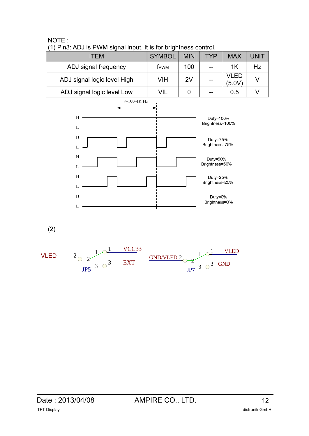# ITEM SYMBOL MIN TYP MAX UNIT ADJ signal frequency  $\parallel$  fpwm  $\parallel$  100  $\parallel$  --  $\parallel$  1K  $\parallel$  Hz ADJ signal logic level High  $\parallel$  VIH  $\parallel$  2V  $\parallel$  --  $\parallel$  VLED  $VLEU$  V<br>(5.0V) V ADJ signal logic level Low  $\vert$  VIL  $\vert$  0  $\vert$  --  $\vert$  0.5  $\vert$  V





(2)

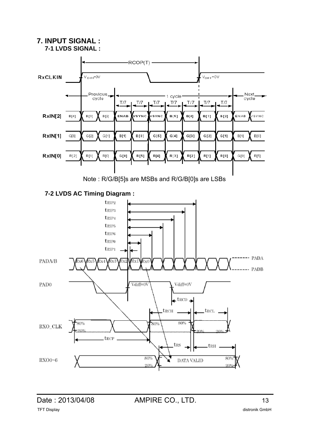# **7. INPUT SIGNAL :**







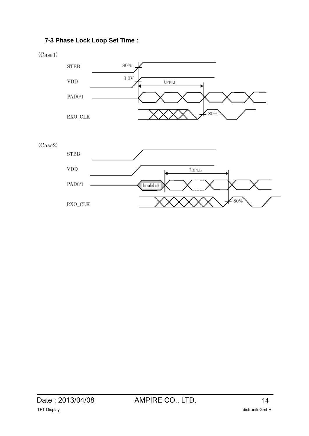### **7-3 Phase Lock Loop Set Time :**





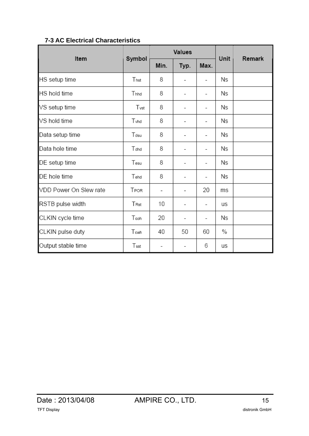| Item                   |        |                          | Values                   | Unit                     | Remark |  |
|------------------------|--------|--------------------------|--------------------------|--------------------------|--------|--|
|                        | Symbol | Min.                     | Typ.                     | Max.                     |        |  |
| HS setup time          | Thst   | 8                        |                          | $\overline{\phantom{0}}$ | Ns     |  |
| HS hold time           | Thhd   | 8                        |                          | $\overline{a}$           | Ns     |  |
| VS setup time          | Tvst   | 8                        |                          | $\overline{\phantom{0}}$ | Ns     |  |
| VS hold time           | Tyhd   | 8                        |                          |                          | Ns     |  |
| Data setup time        | Tdsu   | 8                        |                          | $\overline{a}$           | Ns     |  |
| Data hole time         | Tdhd   | 8                        | $\overline{\phantom{0}}$ | $\overline{a}$           | Ns     |  |
| DE setup time          | Tesu   | 8                        | -                        | $\overline{a}$           | Ns     |  |
| DE hole time           | Tehd   | 8                        |                          | $\overline{a}$           | Ns     |  |
| VDD Power On Slew rate | TPOR   | $\overline{\phantom{0}}$ | $\overline{\phantom{0}}$ | 20                       | ms     |  |
| RSTB pulse width       | Trst   | 10                       | -                        | $\overline{\phantom{a}}$ | us     |  |
| CLKIN cycle time       | Tcoh   | 20                       | $\overline{\phantom{a}}$ | $\overline{\phantom{a}}$ | Ns     |  |
| CLKIN pulse duty       | Tcwh   | 40                       | 50                       | 60                       | $\%$   |  |
| Output stable time     | Tsst   | -                        |                          | 6                        | us     |  |

#### **7-3 AC Electrical Characteristics**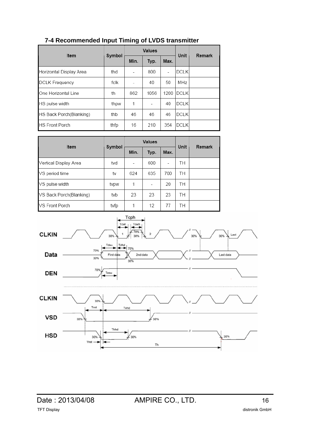| 7-4 Recommended Input Timing of LVDS transmitter |  |  |
|--------------------------------------------------|--|--|
|--------------------------------------------------|--|--|

| Item                    | Symbol | Values |      |                | Unit         | Remark |
|-------------------------|--------|--------|------|----------------|--------------|--------|
|                         |        | Min.   | Typ. | Max.           |              |        |
| Horizontal Display Area | thd    |        | 800  | $\overline{a}$ | <b>DCLK</b>  |        |
| <b>DCLK Frequency</b>   | fclk   |        | 40   | 50             | MHz          |        |
| One Horizontal Line     | th     | 862    | 1056 | 1200           | <b>IDCLK</b> |        |
| HS pulse width          | thpw   | 1      |      | 40             | <b>DCLK</b>  |        |
| HS Back Porch(Blanking) | thb    | 46     | 46   | 46             | DCLK         |        |
| <b>HS Front Porch</b>   | thfp   | 16     | 210  | 354            | IDCLK        |        |

| Item                    | Symbol | <b>Values</b> |      |      | Unit | Remark |
|-------------------------|--------|---------------|------|------|------|--------|
|                         |        | Min.          | Typ. | Max. |      |        |
| Vertical Display Area   | tvd    |               | 600  |      | TН   |        |
| VS period time          | tv     | 624           | 635  | 700  | TН   |        |
| VS pulse width          | tvpw   | 1             |      | 20   | TН   |        |
| VS Back Porch(Blanking) | tvb    | 23            | 23   | 23   | TН   |        |
| VS Front Porch          | tvfp   | 1             | 12   | 77   | TН   |        |

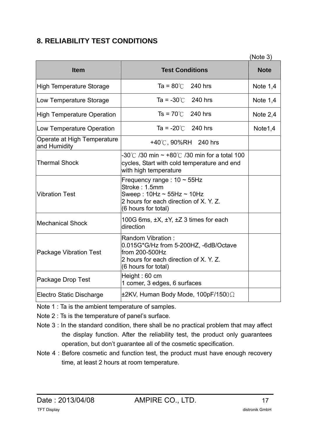# **8. RELIABILITY TEST CONDITIONS**

|                                             |                                                                                                                                                         | (Note 3)    |
|---------------------------------------------|---------------------------------------------------------------------------------------------------------------------------------------------------------|-------------|
| <b>Item</b>                                 | <b>Test Conditions</b>                                                                                                                                  | <b>Note</b> |
| High Temperature Storage                    | Ta = $80^{\circ}$ C<br>240 hrs                                                                                                                          | Note $1,4$  |
| Low Temperature Storage                     | Ta = $-30^{\circ}$ C<br>240 hrs                                                                                                                         | Note $1,4$  |
| <b>High Temperature Operation</b>           | $Ts = 70^{\circ}$ 240 hrs                                                                                                                               | Note $2,4$  |
| Low Temperature Operation                   | Ta = $-20^{\circ}$ 240 hrs                                                                                                                              | Note1,4     |
| Operate at High Temperature<br>and Humidity | +40°C, 90%RH 240 hrs                                                                                                                                    |             |
| <b>Thermal Shock</b>                        | -30°C /30 min $\sim$ +80°C /30 min for a total 100<br>cycles, Start with cold temperature and end<br>with high temperature                              |             |
| <b>Vibration Test</b>                       | Frequency range: $10 \sim 55$ Hz<br>Stroke: 1.5mm<br>Sweep: $10Hz \sim 55Hz \sim 10Hz$<br>2 hours for each direction of X. Y. Z.<br>(6 hours for total) |             |
| <b>Mechanical Shock</b>                     | 100G 6ms, $\pm X$ , $\pm Y$ , $\pm Z$ 3 times for each<br>direction                                                                                     |             |
| <b>Package Vibration Test</b>               | Random Vibration:<br>0.015G*G/Hz from 5-200HZ, -6dB/Octave<br>from 200-500Hz<br>2 hours for each direction of X. Y. Z.<br>(6 hours for total)           |             |
| Package Drop Test                           | Height: 60 cm<br>1 comer, 3 edges, 6 surfaces                                                                                                           |             |
| Electro Static Discharge                    | $\pm$ 2KV, Human Body Mode, 100pF/1500 $\Omega$                                                                                                         |             |

Note 1 : Ta is the ambient temperature of samples.

- Note 2 : Ts is the temperature of panel's surface.
- Note 3 : In the standard condition, there shall be no practical problem that may affect the display function. After the reliability test, the product only guarantees operation, but don't guarantee all of the cosmetic specification.
- Note 4 : Before cosmetic and function test, the product must have enough recovery time, at least 2 hours at room temperature.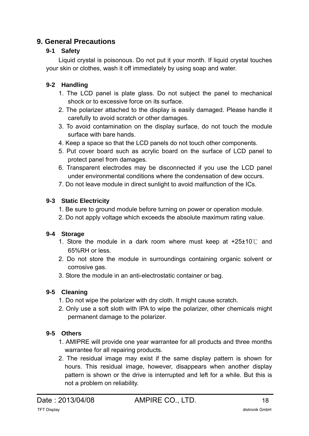## **9. General Precautions**

### **9-1 Safety**

 Liquid crystal is poisonous. Do not put it your month. If liquid crystal touches your skin or clothes, wash it off immediately by using soap and water.

### **9-2 Handling**

- 1. The LCD panel is plate glass. Do not subject the panel to mechanical shock or to excessive force on its surface.
- 2. The polarizer attached to the display is easily damaged. Please handle it carefully to avoid scratch or other damages.
- 3. To avoid contamination on the display surface, do not touch the module surface with bare hands.
- 4. Keep a space so that the LCD panels do not touch other components.
- 5. Put cover board such as acrylic board on the surface of LCD panel to protect panel from damages.
- 6. Transparent electrodes may be disconnected if you use the LCD panel under environmental conditions where the condensation of dew occurs.
- 7. Do not leave module in direct sunlight to avoid malfunction of the ICs.

### **9-3 Static Electricity**

- 1. Be sure to ground module before turning on power or operation module.
- 2. Do not apply voltage which exceeds the absolute maximum rating value.

### **9-4 Storage**

- 1. Store the module in a dark room where must keep at +25±10℃ and 65%RH or less.
- 2. Do not store the module in surroundings containing organic solvent or corrosive gas.
- 3. Store the module in an anti-electrostatic container or bag.

### **9-5 Cleaning**

- 1. Do not wipe the polarizer with dry cloth. It might cause scratch.
- 2. Only use a soft sloth with IPA to wipe the polarizer, other chemicals might permanent damage to the polarizer.

### **9-5 Others**

- 1. AMIPRE will provide one year warrantee for all products and three months warrantee for all repairing products.
- 2. The residual image may exist if the same display pattern is shown for hours. This residual image, however, disappears when another display pattern is shown or the drive is interrupted and left for a while. But this is not a problem on reliability.